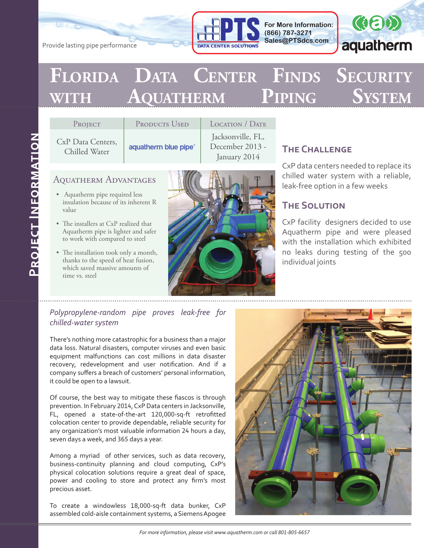

**For More Information: (866) 787-3271 Sales@PTSdcs.com**



# **Florida Data Center Finds Security with Aquatherm Piping System**

| PROJECT                            | <b>PRODUCTS USED</b> |  |
|------------------------------------|----------------------|--|
| CxP Data Centers,<br>Chilled Water | aquatherm blue pipe® |  |

LOCATION / DATE Jacksonville, FL, December 2013 - January 2014

## Aquatherm Advantages

Provide lasting pipe performance

- Aquatherm pipe required less insulation because of its inherent R value
- The installers at CxP realized that Aquatherm pipe is lighter and safer to work with compared to steel
- The installation took only a month, thanks to the speed of heat fusion, which saved massive amounts of time vs. steel



## **The Challenge**

CxP data centers needed to replace its chilled water system with a reliable, leak-free option in a few weeks

### **The Solution**

CxP facility designers decided to use Aquatherm pipe and were pleased with the installation which exhibited no leaks during testing of the 500 individual joints

#### *Polypropylene-random pipe proves leak-free for chilled-water system*

There's nothing more catastrophic for a business than a major data loss. Natural disasters, computer viruses and even basic equipment malfunctions can cost millions in data disaster recovery, redevelopment and user notification. And if a company suffers a breach of customers' personal information, it could be open to a lawsuit.

Of course, the best way to mitigate these fiascos is through prevention. In February 2014, CxP Data centers in Jacksonville, FL, opened a state-of-the-art 120,000-sq-ft retrofitted colocation center to provide dependable, reliable security for any organization's most valuable information 24 hours a day, seven days a week, and 365 days a year.

Among a myriad of other services, such as data recovery, business-continuity planning and cloud computing, CxP's physical colocation solutions require a great deal of space, power and cooling to store and protect any firm's most precious asset.

To create a windowless 18,000-sq-ft data bunker, CxP assembled cold-aisle containment systems, a Siemens Apogee

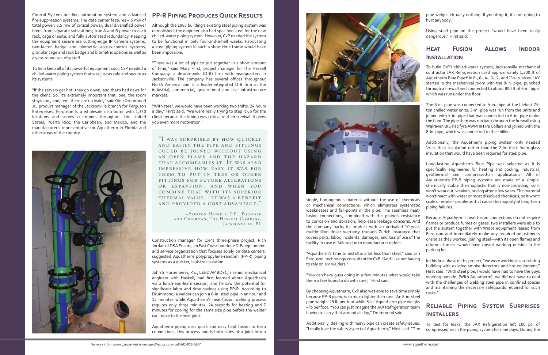"I was surprised by how quickly and easily the pipe and fittings could be joined without using an open flame and the hazard that accompanies it. It was also impressive how easy it was for THEM TO PUT IN TEES OR OTHER fittings for future alterations or expansion, and when you combine that with its superior thermal value—it was a benefit and provided a cost advantage."

> –Preston Haskell, P.E., Founder and Chairman, The Haskell Company, Jacksonville, FL

Control System building automation system and advanced fire-suppression systems. The data center features 4.5 mw of total power; 3.5 mw of critical power; dual diversified power feeds from separate substations; true A and B power to each rack, cage or suite; and fully automated redundancy. Keeping the equipment secure are cutting-edge IP camera systems, two-factor badge and biometric access-control systems, granular cage and rack badge and biometric options as well as a year-round security staff.

To help keep all of its powerful equipment cool, CxP needed a chilled-water piping system that was just as safe and secure as its systems.

"If the servers get hot, they go down, and that's bad news for the client. So, it's extremely important that, one, the room stays cool, and, two, there are no leaks," said Glen Drummond Jr., product manager of the Jacksonville branch for Ferguson Enterprises. Ferguson is a wholesale distributor with 1,350 locations and serves customers throughout the United States, Puerto Rico, the Caribbean, and Mexico, and the manufacturer's representative for Aquatherm in Florida and other areas of the country.



#### **PP-R Piping Produces Quick Results**

Although the 1983 building's existing steel piping system was demolished, the engineer also had specified steel for the new chilled-water piping system. However, CxP needed the system to be functional in only four-and-a-half weeks. Fabricating a steel piping system in such a short time frame would have been impossible.

"There was a lot of pipe to put together in a short amount of time," said Marc Hirst, project manager for The Haskell Company, a design-build (D-B) firm with headquarters in Jacksonville. The company has several offices throughout North America and is a leader-integrated D-B firm in the industrial, commercial, government and civil infrastructure markets.

"With steel, we would have been working two shifts, 24 hours a day," Hirst said. "We were really trying to step it up for the client because the timing was critical to their survival. It gives you even more motivation."

Construction manager for CxP's three-phase project, Rich Jordan of DSA Encore, an East Coast boutique D-B, equipment, and service organization that focuses solely on data centers, suggested Aquatherm polypropylene-random (PP-R) piping systems as a quicker, leak-free solution.

John S. Fortenberry, P.E., LEED AP BD+C, a senior mechanical engineer with Haskell, had first learned about Aquatherm via a lunch-and-learn session, and he saw the potential for significant labor and time savings using PP-R. According to Drummond, a welder can join a 6-in. steel pipe in an hour and 15 minutes while Aquatherm's heat-fusion welding process requires only three minutes, 24 seconds for heating and 7 minutes for cooling for the same size pipe before the welder can move to the next joint.

Aquatherm piping uses quick and easy heat fusion to form connections; this process bonds both sides of a joint into a





single, homogenous material without the use of chemicals or mechanical connections, which eliminates systematic weaknesses and fail-points in the pipe. The seamless heatfusion connections, combined with the piping's resistance to corrosion and abrasion, help ease leakage concerns. And the company backs its product with an unrivaled 10-year, multimillion dollar warranty through Zurich Insurance that covers parts, labor, incidental damages, and loss of use of the facility in case of failure due to manufacturer defect.

"Aquatherm's time to install is a lot less than steel," said Jim Ferguson, technology consultant for CxP. "And I like not having to rely on arc welders."

"You can have guys doing in a few minutes what would take them a few hours to do with steel," Hirst said.

By choosing Aquatherm, CxP also was able to save time simply because PP-R piping is so much lighter than steel. An 8-in. steel pipe weighs 29 lb per foot while 8-in. Aquatherm pipe weighs 4 lb per foot. "You can just imagine the JAX Refrigeration team having to carry that around all day," Drummond said.

pipe weighs virtually nothing. If you drop it, it's not going to hurt anybody."

Using steel pipe on the project "would have been really dangerous," Hirst said.

## **Heat Fusion Allows Indoor Installation**

To build CxP's chilled-water system, Jacksonville mechanical contractor JAX Refrigeration used approximately 1,200 ft of Aquatherm Blue Pipe® in 8-, 6-, 4-, 3-, 2- and 1½-in. sizes. JAX started in the mechanical room with the 8-in. pipe, punched through a firewall and connected to about 800 ft of 6-in. pipe, which was run under the floor.

The 6-in. pipe was connected to 4-in. pipe at the Liebert 75 ton chilled water units; 3-in. pipe was run from the units and joined with 4-in. pipe that was connected to 6-in. pipe under the floor. The pipe then was run back through the firewall using Walraven BIS Pacifyre AWM III Fire Collars and joined with the 8-in. pipe, which was connected to the chiller.

Additionally, the Aquatherm piping system only needed ½-in.-thick insulation rather than the 2-in.-thick foam-glass insulation that would have been required for steel pipe.

Additionally, dealing with heavy pipe can create safety issues. "I really love the safety aspect of Aquatherm," Hirst said. "The To test for leaks, the JAX Refrigeration left 100 psi of compressed air in the piping system for nine days. During the

Long-lasting Aquatherm Blue Pipe was selected as it is specifically engineered for heating and cooling, industrial, geothermal and compressed-air applications. All of Aquatherm's PP-R piping systems are made of a simple, chemically stable thermoplastic that is non-corroding, so it won't wear out, weaken, or clog after a few years. The material won't react with water or most dissolved chemicals, so it won't scale or erode—problems that cause the majority of long-term piping failures.

Because Aquatherm's heat fusion connections do not require flames or produce fumes or gases, two installers were able to put the system together with Widos equipment leased from Ferguson and immediately make any required adjustments onsite as they worked; joining steel—with its open flames and odorous fumes—would have meant working outside in the parking lot.

In this first phase of the project, "we were working in an existing building with existing smoke detectors and fire equipment," Hirst said. "With steel pipe, I would have had to have the guys working outside. [With Aquatherm], we did not have to deal with the challenges of welding steel pipe in confined spaces and maintaining the necessary safeguards required for such tasks."

### **Reliable Piping System Surprises Installers**